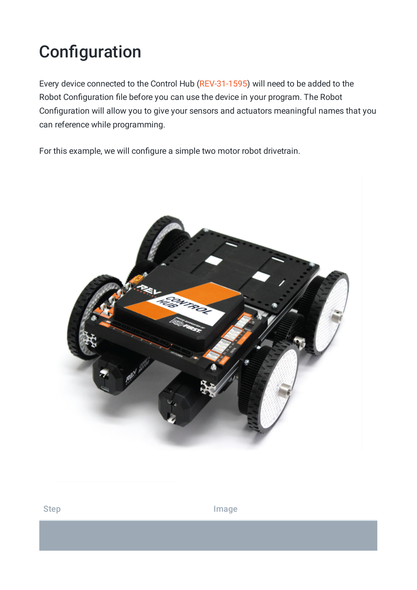## **Configuration**

Every device connected to the Control Hub [\(REV-31-1595](https://www.revrobotics.com/rev-31-1595/)) will need to be added to the Robot Configuration file before you can use the device in your program. The Robot Configuration will allow you to give your sensors and actuators meaningful names that you can reference while programming.

For this example, we will configure a simple two motor robot drivetrain.



Step **Image**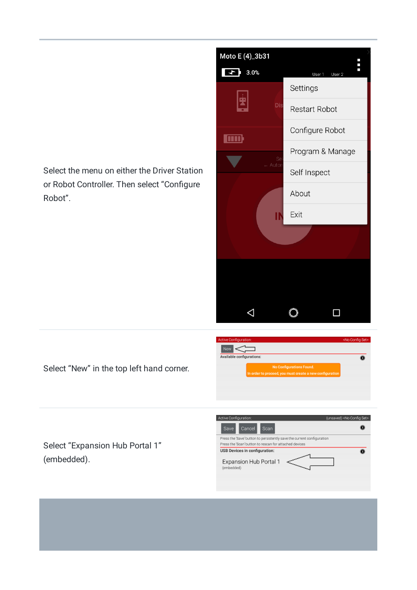Select the menu on either the Driver Station or Robot Controller. Then select "Configure Robot".



Select "New" in the top left hand corner.

Select "Expansion Hub Portal 1" (embedded).



ed, you must create a n

 $\overline{\mathbf{0}}$ 

 $\Leftarrow$ ble configurations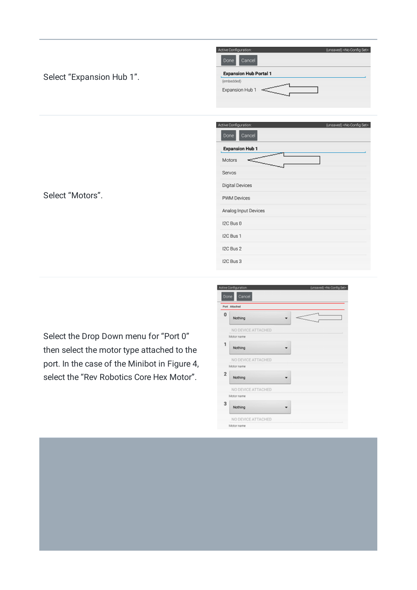|                           | Active Configuration:<br>(unsaved) <no config="" set=""></no> |
|---------------------------|---------------------------------------------------------------|
|                           | Cancel<br>Done                                                |
| Select "Expansion Hub 1". | <b>Expansion Hub Portal 1</b>                                 |
|                           | (embedded)<br>Expansion Hub 1<br>$\leftarrow$                 |
|                           |                                                               |
|                           |                                                               |
|                           | Active Configuration:<br>(unsaved) <no config="" set=""></no> |
|                           | Cancel<br>Done                                                |
|                           | <b>Expansion Hub 1</b>                                        |
|                           | Motors                                                        |
|                           | Servos                                                        |
|                           | Digital Devices                                               |
| Select "Motors".          | PWM Devices                                                   |
|                           | Analog Input Devices                                          |
|                           | I2C Bus 0                                                     |
|                           | I2C Bus 1                                                     |
|                           | I2C Bus 2                                                     |
|                           | I2C Bus 3                                                     |

Select the Drop Down menu for "Port 0" then select the motor type attached to the port. In the case of the Minibot in Figure 4, select the "Rev Robotics Core Hex Motor".

|                         | Active Configuration: | (unsaved) <no config="" set=""></no> |
|-------------------------|-----------------------|--------------------------------------|
| Done                    | Cancel                |                                      |
|                         | Port Attached         |                                      |
| $\bf{0}$                | Nothing               |                                      |
|                         | NO DEVICE ATTACHED    |                                      |
|                         | Motor name            |                                      |
| 1                       | Nothing               |                                      |
|                         | NO DEVICE ATTACHED    |                                      |
|                         | Motor name            |                                      |
| $\overline{\mathbf{2}}$ | Nothing               |                                      |
|                         | NO DEVICE ATTACHED    |                                      |
|                         | Motor name            |                                      |
| 3                       | Nothing               |                                      |
|                         | NO DEVICE ATTACHED    |                                      |
|                         | Motor name            |                                      |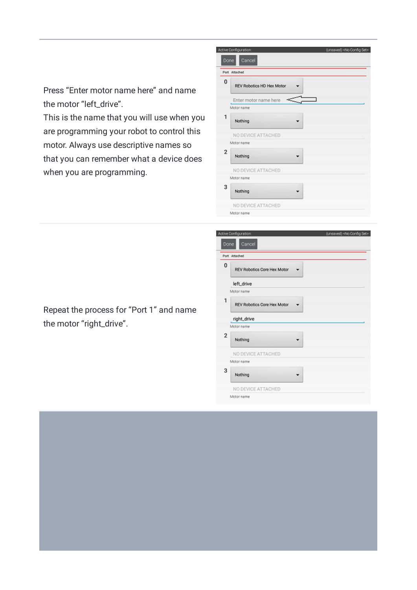Press "Enter motor name here" and name the motor "left\_drive".

This is the name that you will use when you are programming your robot to control this motor. Always use descriptive names so that you can remember what a device does when you are programming.

|                         | Active Configuration:            | (unsaved) <no config="" set=""></no> |
|-------------------------|----------------------------------|--------------------------------------|
| Done                    | Cancel                           |                                      |
|                         | Port Attached                    |                                      |
| 0                       | <b>REV Robotics HD Hex Motor</b> |                                      |
|                         | Enter motor name here            |                                      |
|                         | Motor name                       |                                      |
| 1                       | Nothing                          |                                      |
|                         | NO DEVICE ATTACHED               |                                      |
|                         | Motor name                       |                                      |
| $\overline{\mathbf{c}}$ | Nothing                          |                                      |
|                         | NO DEVICE ATTACHED               |                                      |
|                         | Motor name                       |                                      |
| 3                       | Nothing                          |                                      |
|                         | NO DEVICE ATTACHED               |                                      |
|                         | Motor name                       |                                      |

|                | Active Configuration:       | (unsaved) <no config="" set=""></no> |
|----------------|-----------------------------|--------------------------------------|
| Done           | Cancel                      |                                      |
|                | Port Attached               |                                      |
| 0              | REV Robotics Core Hex Motor |                                      |
|                | left_drive                  |                                      |
|                | Motor name                  |                                      |
| 1              | REV Robotics Core Hex Motor |                                      |
|                | right_drive                 |                                      |
|                | Motor name                  |                                      |
| $\overline{2}$ | Nothing                     |                                      |
|                | NO DEVICE ATTACHED          |                                      |
|                | Motor name                  |                                      |
| 3              | Nothing                     |                                      |
|                | NO DEVICE ATTACHED          |                                      |
|                | Motor name                  |                                      |

Repeat the process for "Port 1" and name the motor "right\_drive".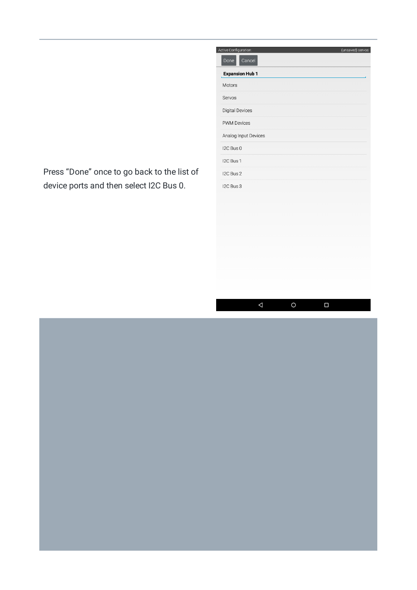Press "Done" once to go back to the list of device ports and then select I2C Bus 0.

| Active Configuration:  | (unsaved) servos |
|------------------------|------------------|
| Cancel<br>Done         |                  |
| <b>Expansion Hub 1</b> |                  |
| Motors                 |                  |
| Servos                 |                  |
| <b>Digital Devices</b> |                  |
| <b>PWM Devices</b>     |                  |
| Analog Input Devices   |                  |
| I2C Bus 0              |                  |
| I2C Bus 1              |                  |
| I2C Bus 2              |                  |
| I2C Bus 3              |                  |
|                        |                  |
|                        |                  |
|                        |                  |
|                        |                  |
|                        |                  |
|                        |                  |
|                        |                  |

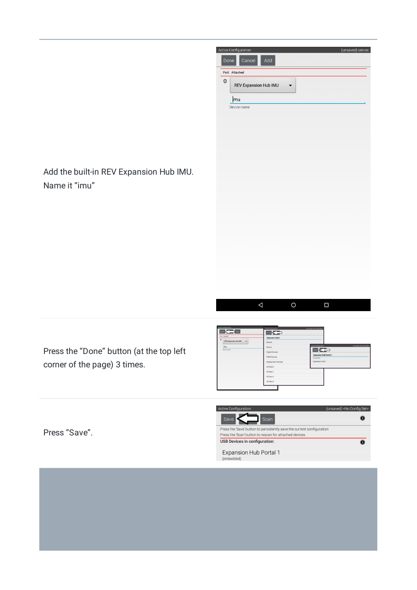



 $\Delta$  $\circ$  $\Box$ 

Press the "Done" button (at the top left corner of the page) 3 times.

| Active Configuration:                                                                     | Active Configuration:  | (unsaved) <no config="" set=""></no>                          |
|-------------------------------------------------------------------------------------------|------------------------|---------------------------------------------------------------|
| Done <ablance add<="" th=""><th><math>\cos \left( -\right)</math></th><th></th></ablance> | $\cos \left( -\right)$ |                                                               |
| <b>Port Attached</b>                                                                      | <b>Expansion Hub 1</b> |                                                               |
| $\bf{0}$<br>REV Expansion Hub IMU<br>$\overline{\phantom{a}}$                             | <b>Motors</b>          |                                                               |
| mu                                                                                        | Servos                 | Active Configuration:<br>(unsaved) <no config="" set=""></no> |
| Device name                                                                               | Digital Devices        | $\log$                                                        |
|                                                                                           | PWM Devices            | <b>Expansion Hub Portal 1</b><br>(embedded)                   |
|                                                                                           | Analog Input Devices   | Expansion Hub 1                                               |
|                                                                                           | IZC Bus 0              |                                                               |
|                                                                                           | <b>I2C Bus 1</b>       |                                                               |
|                                                                                           | IZC Bus 2              |                                                               |
|                                                                                           | I2C Bus 3              |                                                               |
|                                                                                           |                        |                                                               |

Active Configuration (unsaved) <No Config Set> Save  $\leq$  $\sqrt{\frac{1}{2}}$  Scan  $\bullet$ Press the 'Save' button to persistently save the current configuration Press the 'Scan' button to rescan for attached devices USB Devices in configuration:  $\overline{\mathbf{o}}$ Expansion Hub Portal 1 (embedded)

Press "Save".